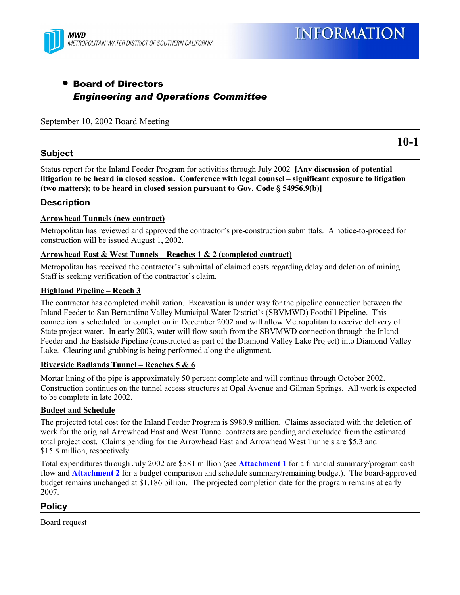

## • Board of Directors *Engineering and Operations Committee*

#### September 10, 2002 Board Meeting

#### **Subject**

**10-1**

Status report for the Inland Feeder Program for activities through July 2002 **[Any discussion of potential** litigation to be heard in closed session. Conference with legal counsel – significant exposure to litigation **(two matters); to be heard in closed session pursuant to Gov. Code ß 54956.9(b)]**

#### **Description**

#### **Arrowhead Tunnels (new contract)**

Metropolitan has reviewed and approved the contractor's pre-construction submittals. A notice-to-proceed for construction will be issued August 1, 2002.

#### **Arrowhead East & West Tunnels – Reaches 1 & 2 (completed contract)**

Metropolitan has received the contractor's submittal of claimed costs regarding delay and deletion of mining. Staff is seeking verification of the contractor's claim.

#### **Highland Pipeline – Reach 3**

The contractor has completed mobilization. Excavation is under way for the pipeline connection between the Inland Feeder to San Bernardino Valley Municipal Water District's (SBVMWD) Foothill Pipeline. This connection is scheduled for completion in December 2002 and will allow Metropolitan to receive delivery of State project water. In early 2003, water will flow south from the SBVMWD connection through the Inland Feeder and the Eastside Pipeline (constructed as part of the Diamond Valley Lake Project) into Diamond Valley Lake. Clearing and grubbing is being performed along the alignment.

#### **Riverside Badlands Tunnel – Reaches 5 & 6**

Mortar lining of the pipe is approximately 50 percent complete and will continue through October 2002. Construction continues on the tunnel access structures at Opal Avenue and Gilman Springs. All work is expected to be complete in late 2002.

#### **Budget and Schedule**

The projected total cost for the Inland Feeder Program is \$980.9 million. Claims associated with the deletion of work for the original Arrowhead East and West Tunnel contracts are pending and excluded from the estimated total project cost. Claims pending for the Arrowhead East and Arrowhead West Tunnels are \$5.3 and \$15.8 million, respectively.

Total expenditures through July 2002 are \$581 million (see **Attachment 1** for a financial summary/program cash flow and **Attachment 2** for a budget comparison and schedule summary/remaining budget). The board-approved budget remains unchanged at \$1.186 billion. The projected completion date for the program remains at early 2007.

#### **Policy**

Board request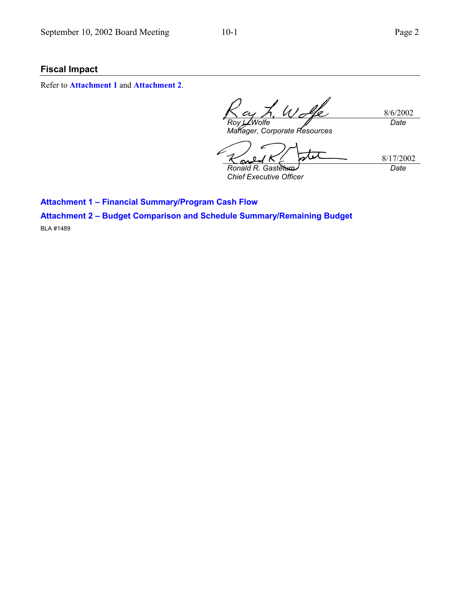### **Fiscal Impact**

Refer to **Attachment 1** and **Attachment 2**.

8/6/2002 *Roy L. Wolfe Date*

*Manager, Corporate Resources*

8/17/2002 *Ronald R. Gastelum Chief Executive Officer Date*

**Attachment 1 - Financial Summary/Program Cash Flow** 

**Attachment 2 - Budget Comparison and Schedule Summary/Remaining Budget** 

BLA #1489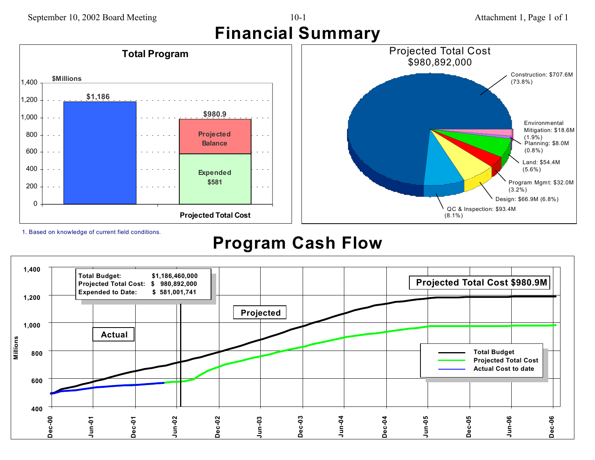# September 10, 2002 Board Meeting 10-1 Attachment 1, Page 1 of 1 **Financial Summary**





1. Based on knowledge of current field conditions.

# **Program Cash Flow**